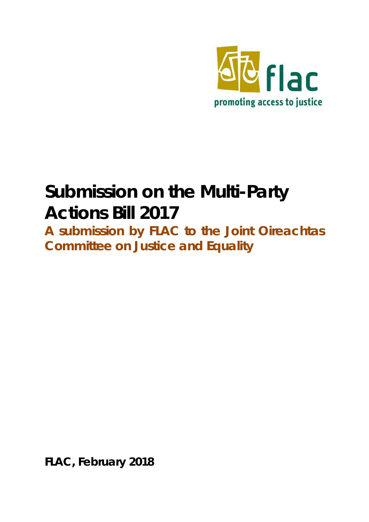

# **Submission on the Multi-Party Actions Bill 2017**

**A submission by FLAC to the Joint Oireachtas Committee on Justice and Equality** 

**FLAC, February 2018**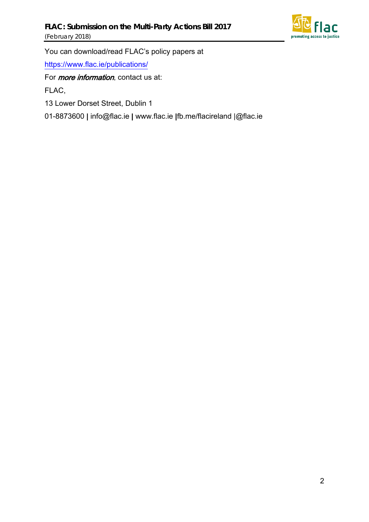

You can download/read FLAC's policy papers at

<https://www.flac.ie/publications/>

For *more information*, contact us at:

FLAC,

13 Lower Dorset Street, Dublin 1

01-8873600 | info@flac.ie | www.flac.ie |fb.me/flacireland |@flac.ie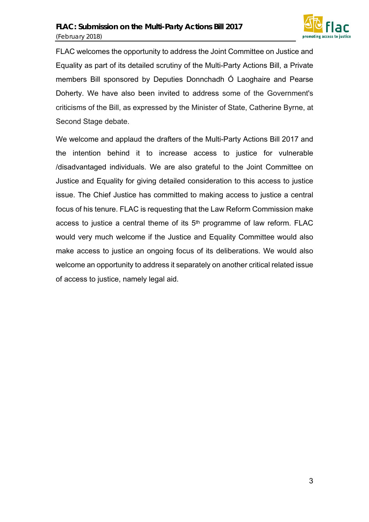

FLAC welcomes the opportunity to address the Joint Committee on Justice and Equality as part of its detailed scrutiny of the Multi-Party Actions Bill, a Private members Bill sponsored by Deputies Donnchadh Ó Laoghaire and Pearse Doherty. We have also been invited to address some of the Government's criticisms of the Bill, as expressed by the Minister of State, Catherine Byrne, at Second Stage debate.

We welcome and applaud the drafters of the Multi-Party Actions Bill 2017 and the intention behind it to increase access to justice for vulnerable /disadvantaged individuals. We are also grateful to the Joint Committee on Justice and Equality for giving detailed consideration to this access to justice issue. The Chief Justice has committed to making access to justice a central focus of his tenure. FLAC is requesting that the Law Reform Commission make access to justice a central theme of its  $5<sup>th</sup>$  programme of law reform. FLAC would very much welcome if the Justice and Equality Committee would also make access to justice an ongoing focus of its deliberations. We would also welcome an opportunity to address it separately on another critical related issue of access to justice, namely legal aid.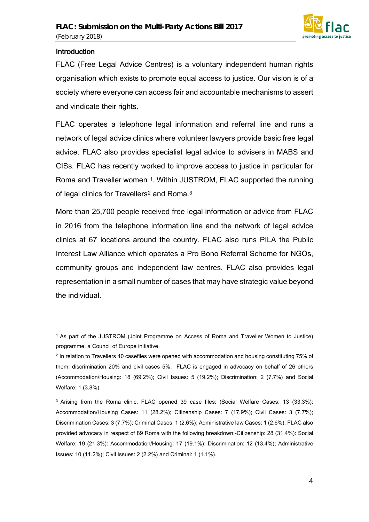

#### **Introduction**

 $\overline{a}$ 

FLAC (Free Legal Advice Centres) is a voluntary independent human rights organisation which exists to promote equal access to justice. Our vision is of a society where everyone can access fair and accountable mechanisms to assert and vindicate their rights.

FLAC operates a telephone legal information and referral line and runs a network of legal advice clinics where volunteer lawyers provide basic free legal advice. FLAC also provides specialist legal advice to advisers in MABS and CISs. FLAC has recently worked to improve access to justice in particular for Roma and Traveller women <sup>[1](#page-3-0)</sup>. Within JUSTROM, FLAC supported the running of legal clinics for Travellers<sup>[2](#page-3-1)</sup> and Roma.<sup>[3](#page-3-2)</sup>

More than 25,700 people received free legal information or advice from FLAC in 2016 from the telephone information line and the network of legal advice clinics at 67 locations around the country. FLAC also runs PILA the Public Interest Law Alliance which operates a Pro Bono Referral Scheme for NGOs, community groups and independent law centres. FLAC also provides legal representation in a small number of cases that may have strategic value beyond the individual.

<span id="page-3-0"></span><sup>1</sup> As part of the JUSTROM (Joint Programme on Access of Roma and Traveller Women to Justice) programme, a Council of Europe initiative.

<span id="page-3-1"></span><sup>2</sup> In relation to Travellers 40 casefiles were opened with accommodation and housing constituting 75% of them, discrimination 20% and civil cases 5%. FLAC is engaged in advocacy on behalf of 26 others (Accommodation/Housing: 18 (69.2%); Civil Issues: 5 (19.2%); Discrimination: 2 (7.7%) and Social Welfare: 1 (3.8%).

<span id="page-3-2"></span><sup>3</sup> Arising from the Roma clinic, FLAC opened 39 case files: (Social Welfare Cases: 13 (33.3%): Accommodation/Housing Cases: 11 (28.2%); Citizenship Cases: 7 (17.9%); Civil Cases: 3 (7.7%); Discrimination Cases: 3 (7.7%); Criminal Cases: 1 (2.6%); Administrative law Cases: 1 (2.6%). FLAC also provided advocacy in respect of 89 Roma with the following breakdown:-Citizenship: 28 (31.4%): Social Welfare: 19 (21.3%): Accommodation/Housing: 17 (19.1%); Discrimination: 12 (13.4%); Administrative Issues: 10 (11.2%); Civil Issues: 2 (2.2%) and Criminal: 1 (1.1%).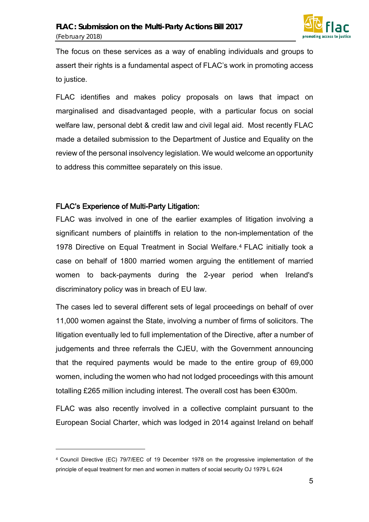

The focus on these services as a way of enabling individuals and groups to assert their rights is a fundamental aspect of FLAC's work in promoting access to justice.

FLAC identifies and makes policy proposals on laws that impact on marginalised and disadvantaged people, with a particular focus on social welfare law, personal debt & credit law and civil legal aid. Most recently FLAC made a detailed submission to the Department of Justice and Equality on the review of the personal insolvency legislation. We would welcome an opportunity to address this committee separately on this issue.

#### FLAC's Experience of Multi-Party Litigation:

 $\overline{a}$ 

FLAC was involved in one of the earlier examples of litigation involving a significant numbers of plaintiffs in relation to the non-implementation of the 1978 Directive on Equal Treatment in Social Welfare.[4](#page-4-0) FLAC initially took a case on behalf of 1800 married women arguing the entitlement of married women to back-payments during the 2-year period when Ireland's discriminatory policy was in breach of EU law.

The cases led to several different sets of legal proceedings on behalf of over 11,000 women against the State, involving a number of firms of solicitors. The litigation eventually led to full implementation of the Directive, after a number of judgements and three referrals the CJEU, with the Government announcing that the required payments would be made to the entire group of 69,000 women, including the women who had not lodged proceedings with this amount totalling £265 million including interest. The overall cost has been €300m.

FLAC was also recently involved in a collective complaint pursuant to the European Social Charter, which was lodged in 2014 against Ireland on behalf

<span id="page-4-0"></span><sup>4</sup> Council Directive (EC) 79/7/EEC of 19 December 1978 on the progressive implementation of the principle of equal treatment for men and women in matters of social security OJ 1979 L 6/24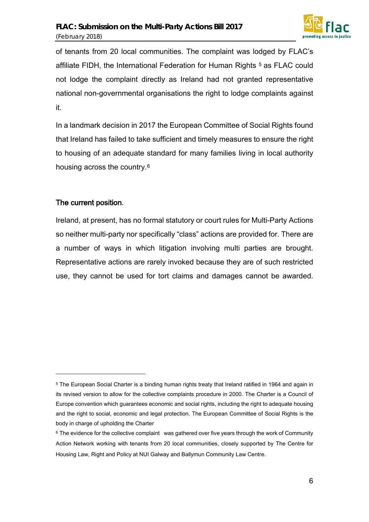

of tenants from 20 local communities. The complaint was lodged by FLAC's affiliate FIDH, the International Federation for Human Rights<sup>[5](#page-5-0)</sup> as FLAC could not lodge the complaint directly as Ireland had not granted representative national non-governmental organisations the right to lodge complaints against it.

In a landmark decision in 2017 the European Committee of Social Rights found that Ireland has failed to take sufficient and timely measures to ensure the right to housing of an adequate standard for many families living in local authority housing across the country.[6](#page-5-1)

#### The current position.

l

Ireland, at present, has no formal statutory or court rules for Multi-Party Actions so neither multi-party nor specifically "class" actions are provided for. There are a number of ways in which litigation involving multi parties are brought. Representative actions are rarely invoked because they are of such restricted use, they cannot be used for tort claims and damages cannot be awarded.

<span id="page-5-0"></span><sup>5</sup> The European Social Charter is a binding human rights treaty that Ireland ratified in 1964 and again in its revised version to allow for the collective complaints procedure in 2000. The Charter is a Council of Europe convention which guarantees economic and social rights, including the right to adequate housing and the right to social, economic and legal protection. The European Committee of Social Rights is the body in charge of upholding the Charter

<span id="page-5-1"></span><sup>&</sup>lt;sup>6</sup> The evidence for the collective complaint was gathered over five years through the work of Community Action Network working with tenants from 20 local communities, closely supported by The Centre for Housing Law, Right and Policy at NUI Galway and Ballymun Community Law Centre.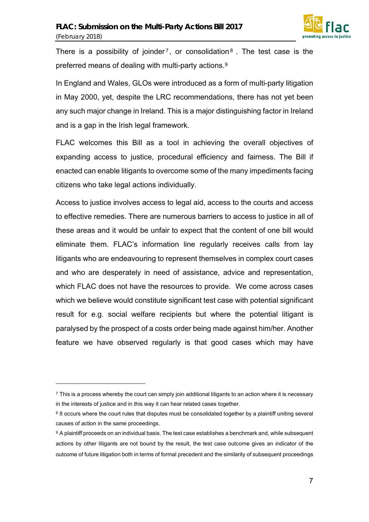

There is a possibility of joinder<sup>[7](#page-6-0)</sup>, or consolidation<sup>[8](#page-6-1)</sup>. The test case is the preferred means of dealing with multi-party actions.[9](#page-6-2)

In England and Wales, GLOs were introduced as a form of multi-party litigation in May 2000, yet, despite the LRC recommendations, there has not yet been any such major change in Ireland. This is a major distinguishing factor in Ireland and is a gap in the Irish legal framework.

FLAC welcomes this Bill as a tool in achieving the overall objectives of expanding access to justice, procedural efficiency and fairness. The Bill if enacted can enable litigants to overcome some of the many impediments facing citizens who take legal actions individually.

Access to justice involves access to legal aid, access to the courts and access to effective remedies. There are numerous barriers to access to justice in all of these areas and it would be unfair to expect that the content of one bill would eliminate them. FLAC's information line regularly receives calls from lay litigants who are endeavouring to represent themselves in complex court cases and who are desperately in need of assistance, advice and representation, which FLAC does not have the resources to provide. We come across cases which we believe would constitute significant test case with potential significant result for e.g. social welfare recipients but where the potential litigant is paralysed by the prospect of a costs order being made against him/her. Another feature we have observed regularly is that good cases which may have

 $\overline{a}$ 

<span id="page-6-0"></span> $\frac{7}{1}$  This is a process whereby the court can simply join additional litigants to an action where it is necessary in the interests of justice and in this way it can hear related cases together.

<span id="page-6-1"></span><sup>&</sup>lt;sup>8</sup> It occurs where the court rules that disputes must be consolidated together by a plaintiff uniting several causes of action in the same proceedings.

<span id="page-6-2"></span><sup>9</sup> A plaintiff proceeds on an individual basis. The test case establishes a benchmark and, while subsequent actions by other litigants are not bound by the result, the test case outcome gives an indicator of the outcome of future litigation both in terms of formal precedent and the similarity of subsequent proceedings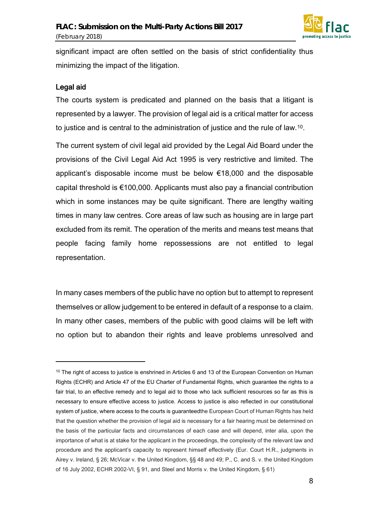

significant impact are often settled on the basis of strict confidentiality thus minimizing the impact of the litigation.

#### Legal aid

 $\overline{a}$ 

The courts system is predicated and planned on the basis that a litigant is represented by a lawyer. The provision of legal aid is a critical matter for access to justice and is central to the administration of justice and the rule of law.[10](#page-7-0).

The current system of civil legal aid provided by the Legal Aid Board under the provisions of the Civil Legal Aid Act 1995 is very restrictive and limited. The applicant's disposable income must be below €18,000 and the disposable capital threshold is €100,000. Applicants must also pay a financial contribution which in some instances may be quite significant. There are lengthy waiting times in many law centres. Core areas of law such as housing are in large part excluded from its remit. The operation of the merits and means test means that people facing family home repossessions are not entitled to legal representation.

In many cases members of the public have no option but to attempt to represent themselves or allow judgement to be entered in default of a response to a claim. In many other cases, members of the public with good claims will be left with no option but to abandon their rights and leave problems unresolved and

<span id="page-7-0"></span><sup>&</sup>lt;sup>10</sup> The right of access to justice is enshrined in Articles 6 and 13 of the European Convention on Human Rights (ECHR) and Article 47 of the EU Charter of Fundamental Rights, which guarantee the rights to a fair trial, to an effective remedy and to legal aid to those who lack sufficient resources so far as this is necessary to ensure effective access to justice. Access to justice is also reflected in our constitutional system of justice, where access to the courts is guaranteedthe European Court of Human Rights has held that the question whether the provision of legal aid is necessary for a fair hearing must be determined on the basis of the particular facts and circumstances of each case and will depend, inter alia, upon the importance of what is at stake for the applicant in the proceedings, the complexity of the relevant law and procedure and the applicant's capacity to represent himself effectively (Eur. Court H.R., judgments in Airey v. Ireland, § 26; McVicar v. the United Kingdom, §§ 48 and 49; P., C. and S. v. the United Kingdom of 16 July 2002, ECHR 2002-VI, § 91, and Steel and Morris v. the United Kingdom, § 61)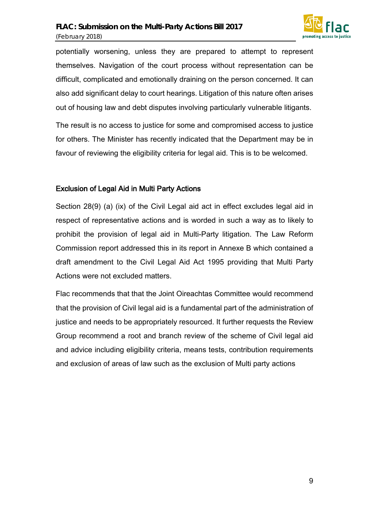

potentially worsening, unless they are prepared to attempt to represent themselves. Navigation of the court process without representation can be difficult, complicated and emotionally draining on the person concerned. It can also add significant delay to court hearings. Litigation of this nature often arises out of housing law and debt disputes involving particularly vulnerable litigants.

The result is no access to justice for some and compromised access to justice for others. The Minister has recently indicated that the Department may be in favour of reviewing the eligibility criteria for legal aid. This is to be welcomed.

#### Exclusion of Legal Aid in Multi Party Actions

Section 28(9) (a) (ix) of the Civil Legal aid act in effect excludes legal aid in respect of representative actions and is worded in such a way as to likely to prohibit the provision of legal aid in Multi-Party litigation. The Law Reform Commission report addressed this in its report in Annexe B which contained a draft amendment to the Civil Legal Aid Act 1995 providing that Multi Party Actions were not excluded matters.

Flac recommends that that the Joint Oireachtas Committee would recommend that the provision of Civil legal aid is a fundamental part of the administration of justice and needs to be appropriately resourced. It further requests the Review Group recommend a root and branch review of the scheme of Civil legal aid and advice including eligibility criteria, means tests, contribution requirements and exclusion of areas of law such as the exclusion of Multi party actions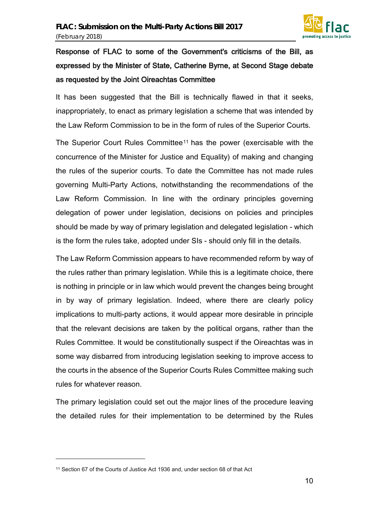

## Response of FLAC to some of the Government's criticisms of the Bill, as expressed by the Minister of State, Catherine Byrne, at Second Stage debate as requested by the Joint Oireachtas Committee

It has been suggested that the Bill is technically flawed in that it seeks, inappropriately, to enact as primary legislation a scheme that was intended by the Law Reform Commission to be in the form of rules of the Superior Courts.

The Superior Court Rules Committee[11](#page-9-0) has the power (exercisable with the concurrence of the Minister for Justice and Equality) of making and changing the rules of the superior courts. To date the Committee has not made rules governing Multi-Party Actions, notwithstanding the recommendations of the Law Reform Commission. In line with the ordinary principles governing delegation of power under legislation, decisions on policies and principles should be made by way of primary legislation and delegated legislation - which is the form the rules take, adopted under SIs - should only fill in the details.

The Law Reform Commission appears to have recommended reform by way of the rules rather than primary legislation. While this is a legitimate choice, there is nothing in principle or in law which would prevent the changes being brought in by way of primary legislation. Indeed, where there are clearly policy implications to multi-party actions, it would appear more desirable in principle that the relevant decisions are taken by the political organs, rather than the Rules Committee. It would be constitutionally suspect if the Oireachtas was in some way disbarred from introducing legislation seeking to improve access to the courts in the absence of the Superior Courts Rules Committee making such rules for whatever reason.

The primary legislation could set out the major lines of the procedure leaving the detailed rules for their implementation to be determined by the Rules

l

<span id="page-9-0"></span><sup>11</sup> Section 67 of the Courts of Justice Act 1936 and, under section 68 of that Act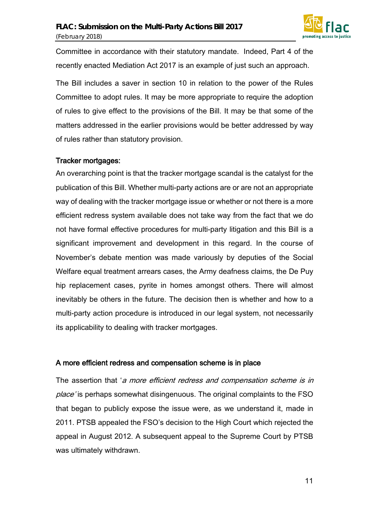

Committee in accordance with their statutory mandate. Indeed, Part 4 of the recently enacted Mediation Act 2017 is an example of just such an approach.

The Bill includes a saver in section 10 in relation to the power of the Rules Committee to adopt rules. It may be more appropriate to require the adoption of rules to give effect to the provisions of the Bill. It may be that some of the matters addressed in the earlier provisions would be better addressed by way of rules rather than statutory provision.

#### Tracker mortgages:

An overarching point is that the tracker mortgage scandal is the catalyst for the publication of this Bill. Whether multi-party actions are or are not an appropriate way of dealing with the tracker mortgage issue or whether or not there is a more efficient redress system available does not take way from the fact that we do not have formal effective procedures for multi-party litigation and this Bill is a significant improvement and development in this regard. In the course of November's debate mention was made variously by deputies of the Social Welfare equal treatment arrears cases, the Army deafness claims, the De Puy hip replacement cases, pyrite in homes amongst others. There will almost inevitably be others in the future. The decision then is whether and how to a multi-party action procedure is introduced in our legal system, not necessarily its applicability to dealing with tracker mortgages.

#### A more efficient redress and compensation scheme is in place

The assertion that 'a more efficient redress and compensation scheme is in place' is perhaps somewhat disingenuous. The original complaints to the FSO that began to publicly expose the issue were, as we understand it, made in 2011. PTSB appealed the FSO's decision to the High Court which rejected the appeal in August 2012. A subsequent appeal to the Supreme Court by PTSB was ultimately withdrawn.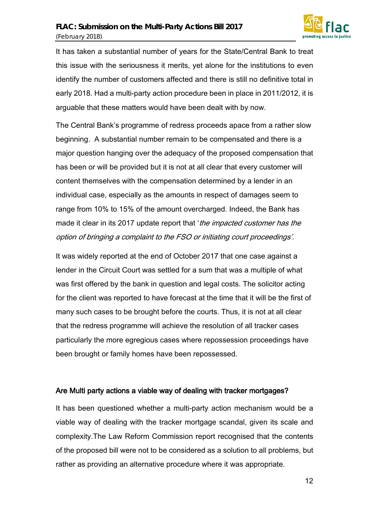

It has taken a substantial number of years for the State/Central Bank to treat this issue with the seriousness it merits, yet alone for the institutions to even identify the number of customers affected and there is still no definitive total in early 2018. Had a multi-party action procedure been in place in 2011/2012, it is arguable that these matters would have been dealt with by now.

The Central Bank's programme of redress proceeds apace from a rather slow beginning. A substantial number remain to be compensated and there is a major question hanging over the adequacy of the proposed compensation that has been or will be provided but it is not at all clear that every customer will content themselves with the compensation determined by a lender in an individual case, especially as the amounts in respect of damages seem to range from 10% to 15% of the amount overcharged. Indeed, the Bank has made it clear in its 2017 update report that 'the impacted customer has the option of bringing a complaint to the FSO or initiating court proceedings'.

It was widely reported at the end of October 2017 that one case against a lender in the Circuit Court was settled for a sum that was a multiple of what was first offered by the bank in question and legal costs. The solicitor acting for the client was reported to have forecast at the time that it will be the first of many such cases to be brought before the courts. Thus, it is not at all clear that the redress programme will achieve the resolution of all tracker cases particularly the more egregious cases where repossession proceedings have been brought or family homes have been repossessed.

#### Are Multi party actions a viable way of dealing with tracker mortgages?

It has been questioned whether a multi-party action mechanism would be a viable way of dealing with the tracker mortgage scandal, given its scale and complexity.The Law Reform Commission report recognised that the contents of the proposed bill were not to be considered as a solution to all problems, but rather as providing an alternative procedure where it was appropriate.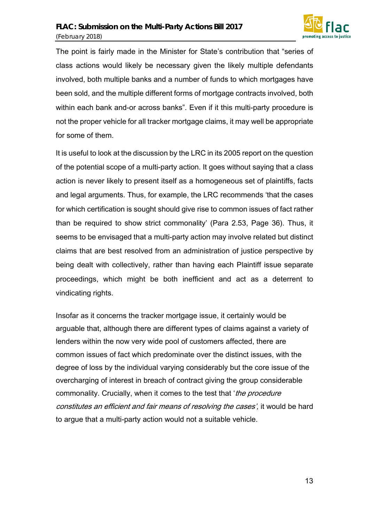

The point is fairly made in the Minister for State's contribution that "series of class actions would likely be necessary given the likely multiple defendants involved, both multiple banks and a number of funds to which mortgages have been sold, and the multiple different forms of mortgage contracts involved, both within each bank and-or across banks". Even if it this multi-party procedure is not the proper vehicle for all tracker mortgage claims, it may well be appropriate for some of them.

It is useful to look at the discussion by the LRC in its 2005 report on the question of the potential scope of a multi-party action. It goes without saying that a class action is never likely to present itself as a homogeneous set of plaintiffs, facts and legal arguments. Thus, for example, the LRC recommends 'that the cases for which certification is sought should give rise to common issues of fact rather than be required to show strict commonality' (Para 2.53, Page 36). Thus, it seems to be envisaged that a multi-party action may involve related but distinct claims that are best resolved from an administration of justice perspective by being dealt with collectively, rather than having each Plaintiff issue separate proceedings, which might be both inefficient and act as a deterrent to vindicating rights.

Insofar as it concerns the tracker mortgage issue, it certainly would be arguable that, although there are different types of claims against a variety of lenders within the now very wide pool of customers affected, there are common issues of fact which predominate over the distinct issues, with the degree of loss by the individual varying considerably but the core issue of the overcharging of interest in breach of contract giving the group considerable commonality. Crucially, when it comes to the test that 'the procedure constitutes an efficient and fair means of resolving the cases', it would be hard to argue that a multi-party action would not a suitable vehicle.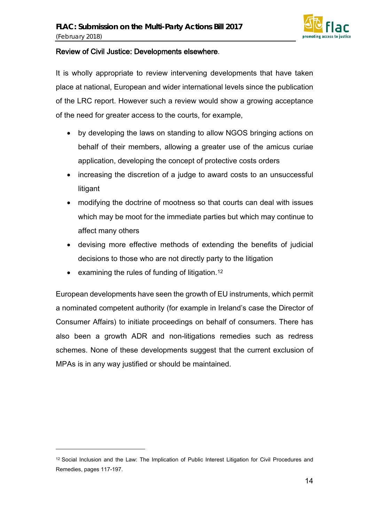

#### Review of Civil Justice: Developments elsewhere.

It is wholly appropriate to review intervening developments that have taken place at national, European and wider international levels since the publication of the LRC report. However such a review would show a growing acceptance of the need for greater access to the courts, for example,

- by developing the laws on standing to allow NGOS bringing actions on behalf of their members, allowing a greater use of the amicus curiae application, developing the concept of protective costs orders
- increasing the discretion of a judge to award costs to an unsuccessful litigant
- modifying the doctrine of mootness so that courts can deal with issues which may be moot for the immediate parties but which may continue to affect many others
- devising more effective methods of extending the benefits of judicial decisions to those who are not directly party to the litigation
- examining the rules of funding of litigation.<sup>[12](#page-13-0)</sup>

 $\overline{a}$ 

European developments have seen the growth of EU instruments, which permit a nominated competent authority (for example in Ireland's case the Director of Consumer Affairs) to initiate proceedings on behalf of consumers. There has also been a growth ADR and non-litigations remedies such as redress schemes. None of these developments suggest that the current exclusion of MPAs is in any way justified or should be maintained.

<span id="page-13-0"></span><sup>12</sup> Social Inclusion and the Law: The Implication of Public Interest Litigation for Civil Procedures and Remedies, pages 117-197.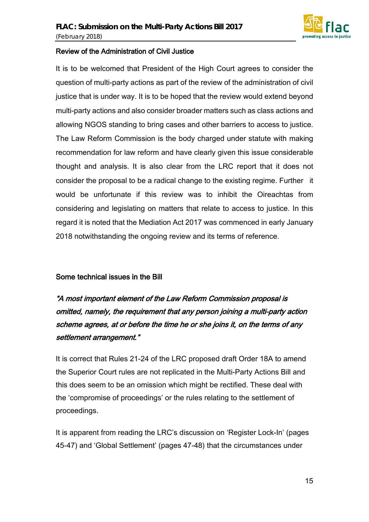

#### Review of the Administration of Civil Justice

It is to be welcomed that President of the High Court agrees to consider the question of multi-party actions as part of the review of the administration of civil justice that is under way. It is to be hoped that the review would extend beyond multi-party actions and also consider broader matters such as class actions and allowing NGOS standing to bring cases and other barriers to access to justice. The Law Reform Commission is the body charged under statute with making recommendation for law reform and have clearly given this issue considerable thought and analysis. It is also clear from the LRC report that it does not consider the proposal to be a radical change to the existing regime. Further it would be unfortunate if this review was to inhibit the Oireachtas from considering and legislating on matters that relate to access to justice. In this regard it is noted that the Mediation Act 2017 was commenced in early January 2018 notwithstanding the ongoing review and its terms of reference.

#### Some technical issues in the Bill

"A most important element of the Law Reform Commission proposal is omitted, namely, the requirement that any person joining a multi-party action scheme agrees, at or before the time he or she joins it, on the terms of any settlement arrangement."

It is correct that Rules 21-24 of the LRC proposed draft Order 18A to amend the Superior Court rules are not replicated in the Multi-Party Actions Bill and this does seem to be an omission which might be rectified. These deal with the 'compromise of proceedings' or the rules relating to the settlement of proceedings.

It is apparent from reading the LRC's discussion on 'Register Lock-In' (pages 45-47) and 'Global Settlement' (pages 47-48) that the circumstances under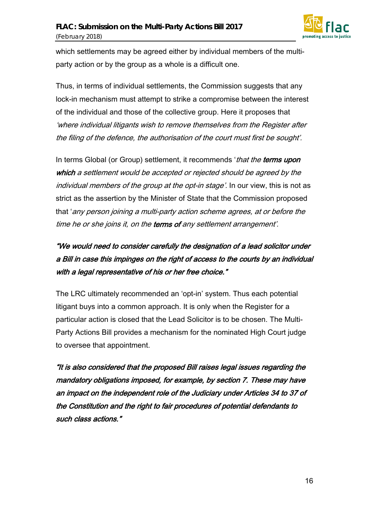

which settlements may be agreed either by individual members of the multiparty action or by the group as a whole is a difficult one.

Thus, in terms of individual settlements, the Commission suggests that any lock-in mechanism must attempt to strike a compromise between the interest of the individual and those of the collective group. Here it proposes that 'where individual litigants wish to remove themselves from the Register after the filing of the defence, the authorisation of the court must first be sought'.

In terms Global (or Group) settlement, it recommends 'that the terms upon which a settlement would be accepted or rejected should be agreed by the individual members of the group at the opt-in stage'. In our view, this is not as strict as the assertion by the Minister of State that the Commission proposed that 'any person joining a multi-party action scheme agrees, at or before the time he or she joins it, on the terms of any settlement arrangement'.

### "We would need to consider carefully the designation of a lead solicitor under a Bill in case this impinges on the right of access to the courts by an individual with a legal representative of his or her free choice."

The LRC ultimately recommended an 'opt-in' system. Thus each potential litigant buys into a common approach. It is only when the Register for a particular action is closed that the Lead Solicitor is to be chosen. The Multi-Party Actions Bill provides a mechanism for the nominated High Court judge to oversee that appointment.

"It is also considered that the proposed Bill raises legal issues regarding the mandatory obligations imposed, for example, by section 7. These may have an impact on the independent role of the Judiciary under Articles 34 to 37 of the Constitution and the right to fair procedures of potential defendants to such class actions."